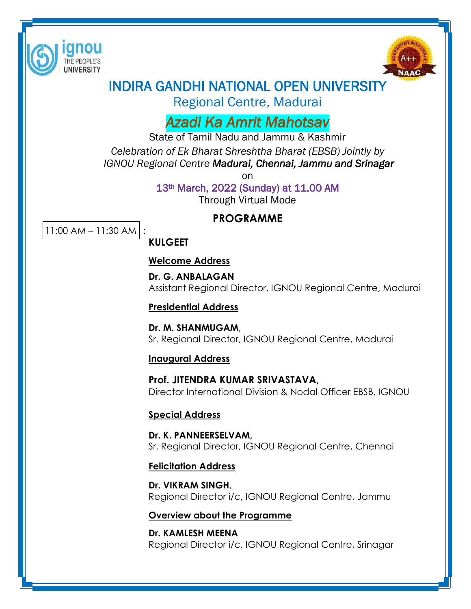



# INDIRA GANDHI NATIONAL OPEN UNIVERSITY

Regional Centre, Madurai

# *Azadi Ka Amrit Mahotsav*

State of Tamil Nadu and Jammu & Kashmir *Celebration of Ek Bharat Shreshtha Bharat (EBSB) Jointly by IGNOU Regional Centre Madurai, Chennai, Jammu and Srinagar*

> on 13th March, 2022 (Sunday) at 11.00 AM Through Virtual Mode

## **PROGRAMME**

11:00 AM – 11:30 AM :

## **KULGEET**

#### **Welcome Address**

 **Dr. G. ANBALAGAN** Assistant Regional Director, IGNOU Regional Centre, Madurai

#### **Presidential Address**

**Dr. M. SHANMUGAM**, Sr. Regional Director, IGNOU Regional Centre, Madurai

#### **Inaugural Address**

**Prof. JITENDRA KUMAR SRIVASTAVA,** Director International Division & Nodal Officer EBSB, IGNOU

#### **Special Address**

**Dr. K. PANNEERSELVAM,** Sr. Regional Director, IGNOU Regional Centre, Chennai

## **Felicitation Address**

**Dr. VIKRAM SINGH**, Regional Director i/c, IGNOU Regional Centre, Jammu

## **Overview about the Programme**

**Dr. KAMLESH MEENA**  Regional Director i/c, IGNOU Regional Centre, Srinagar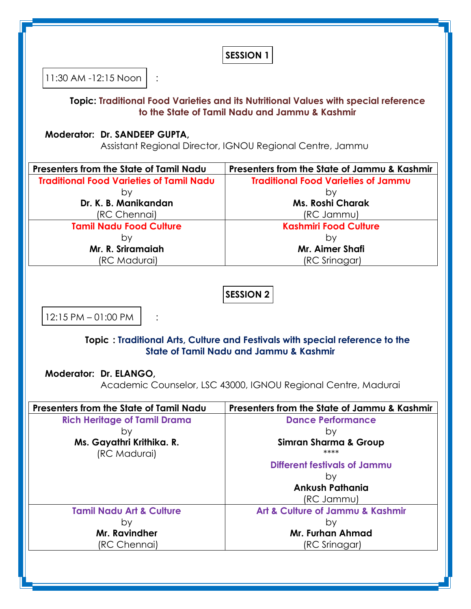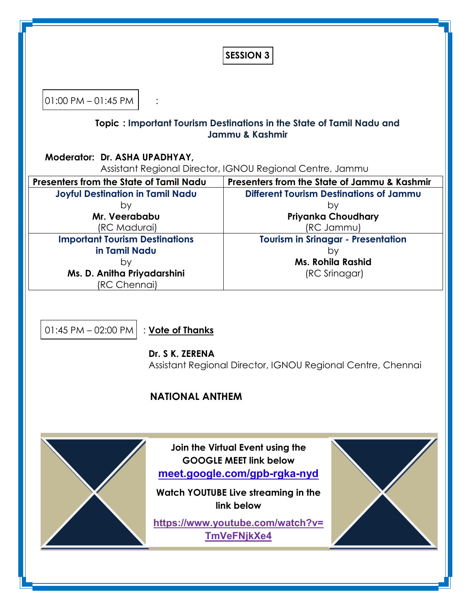